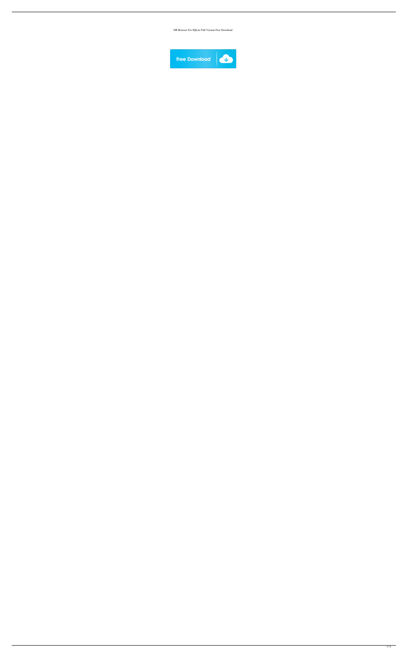DB Browser For SQLite Full Version Free Download

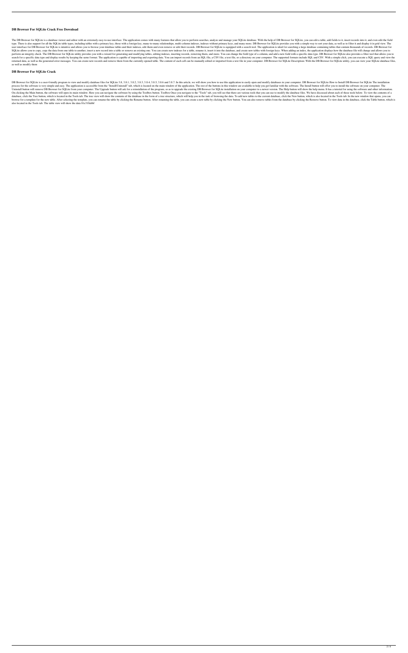## **DB Browser For SQLite Crack Free Download**

The DB Browser for SQLite is a database viewer and editor with an extremely easy-to-use interface. The application comes with many features that allow you to perform searches, analyze and manage your SQLite database. With type. There is also support for all the SQLite table types, including tables with a primary key, those with a foreign key, many-to-many relationships, multi-column indexes, indexes without primary keys, and many more. DB B user interface for DB Browser for SQLite is intuitive and allows you to browse your database tables and their indexes, edit them and even remove or edit their records. DB Browser for SQLite is equipped with a search tool. SQLite allows you to copy, copy the data from one table to another, insert a new record into a table or remove an existing one. You can create new indexes for a table, rename it, insert it into the database, and create new perform an integrity check. The DB Browser for SQLite utility provides you with a wizard for generating and modifying tables, editing indexes, inserting records, removing them, and more. You can change the field type of a search for a specific data type and display results by keeping the same format. The application is capable of importing and exporting data. You can import records from an SOL file, a CSV file, a text file, or a directory o returned data, as well as the generated error messages. You can create new records and remove them from the currently opened table. The content of each cell can be manually edited or imported from a text file in your compu as well as modify them

DB Browser for SQLite is a user-friendly program to view and modify database files for SQLite 3.8, 3.8.1, 3.8.2, 3.8.3, 3.8.4, 3.8.2, 3.8.3, 3.8.4, 3.8.5, 3.8.4, 3.8.5, 3.8.4, 3.8.5, 3.8.4, a.8.5, 3.8.4, a.8.5, 3.8.4, a.8. process for the software is very simple and easy. The application is accessible from the "Install/Uninstall" tab, which is located on the main window of the application. The rest of the buttons in this window are available Uninstall button will remove DB Browser for SQLite from your computer. The Upgrade button will ask for a reinstallation of the program, so as to upgrade the existing DB Browser for SQLite installation on your computer to a On clicking the Main button, the software will open its main window. Here you can navigate the software by using the Toolbox button. Toolbox Once you navigate to the "Tools" tab, you will see that there are various tools t database, click the Tree button, which is located in the Tools tab. The tree view will show the contents of the database in the form of a tree structure, which will help you in the task of browsing the data. To add new tab browse for a template for the new table. After selecting the template, you can rename the table by clicking the Rename button. After renaming the table, you can create a new table by clicking the New button. You can also r also located in the Tools tab. The table view will show the data 81e310abbf

## **DB Browser For SQLite Crack**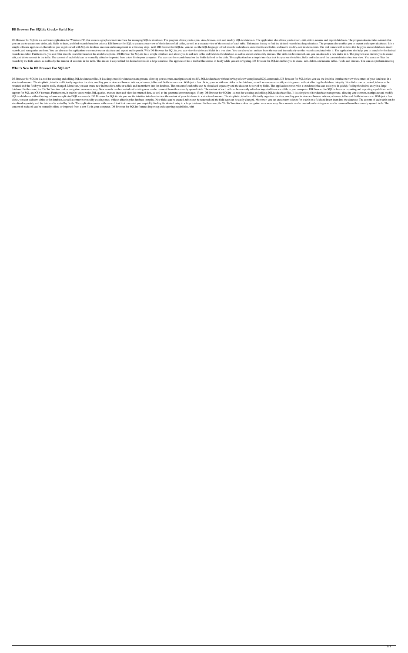## **DB Browser For SQLite Crack+ Serial Key**

DB Browser for SQLite is a software application for Windows PC, that creates a graphical user interface for managing SQLite databases. The program allows you to open, view, browse, edit, and modify SQLite databases. The ap you can use to create new tables, add fields to them, and find records based on criteria. DB Browser for SQLite creates a tree view of the indexes of all tables, as well as a separate view of the records of each table. Thi simple software application, that allows you to get started with SQLite database creation and management in a few easy steps. With DB Browser for SQLite, you can use the SQL language to find records in databases, create ta records, and run queries on them. You can also use the application to connect to your database and export and import it. With DB Browser for SQLite, you can view the tables and fields in a tree view. You can also select an records in a table. Furthermore, you can filter records in a table based on the available options. DB Browser for SQLite has a simple interface, and allows you to add new tables and fields to the database, as well as creat edit, and delete records in the table. The content of each field can be manually edited or imported from a text file in your computer. You can sort the records based on the fields defined in the table. The application has records by the field values, as well as by the number of columns in the table. This makes it easy to find the desired records in a large database. The application has a toolbar that comes in handy while you are navigating.

#### **What's New In DB Browser For SQLite?**

DB Browser for SQLite is a tool for creating and editing SQLite database files. It is a simple tool for database management, allowing you to create, manipulate and modify SQLite databases without having to know complicated structured manner. The simplistic, interface efficiently organizes the data, enabling you to view and browse indexes, schemas, tables and fields in tree view. With just a few clicks, you can add new tables to the database, renamed and the field type can be easily changed. Moreover, you can create new indexes for a table or a field and insert them into the database. The content of each table can be visualized separately and the data can be so database. Furthermore, the 'Go To' function makes navigation even more easy. New records can be created and existing ones can be removed from the currently opened table. The content of each cell can be manually edited or i support for SQL and CSV formats. Furthermore, it enables you to write SQL queries, execute them and view the returned data, as well as the generated error messages, if any. DB Browser for SQLite is a tool for creating and SQLite databases without having to know complicated SQL commands. DB Browser for SQLite lets you use the intuitive interface to view the content of your databases in a structured manner. The simplistic, interface efficient clicks, you can add new tables to the database, as well as remove or modify existing ones, without affecting the database integrity. New fields can be created, tables can be renamed and the field type can be easily changed visualized separately and the data can be sorted by fields. The application comes with a search tool that can assist you in quickly finding the desired entry in a large database. Furthermore, the 'Go To' function makes nav content of each cell can be manually edited or imported from a text file in your computer. DB Browser for SQLite features importing and exporting capabilities, with